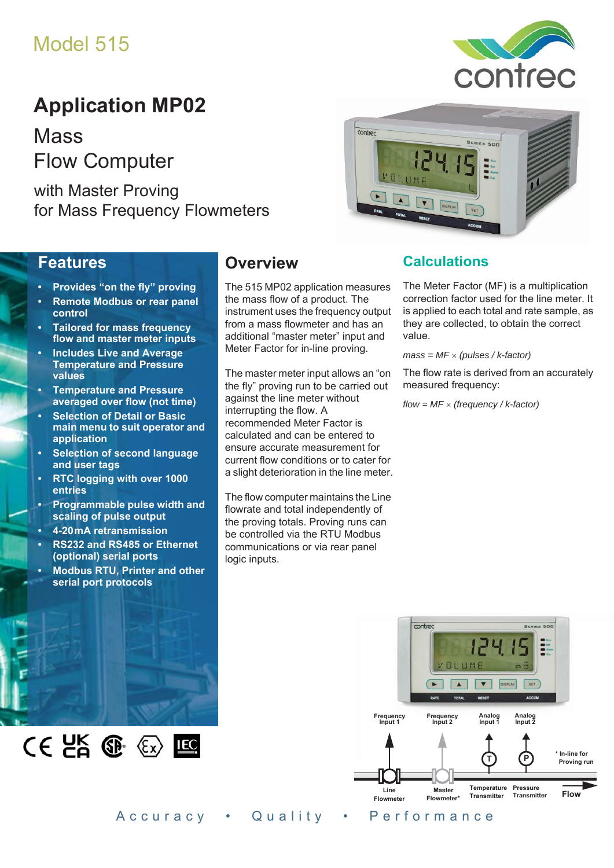# Model 515

# **Application MP02**

**Mass** Flow Computer

with Master Proving for Mass Frequency Flowmeters

### **Features**

- **Provides "on the fly" proving**
- **Remote Modbus or rear panel control**
- **Tailored for mass frequency flow and master meter inputs**
- **Includes Live and Average Temperature and Pressure values**
- **Temperature and Pressure averaged over flow (not time)**
- **Selection of Detail or Basic main menu to suit operator and application**
- **Selection of second language and user tags**
- **RTC logging with over 1000 entries**
- **Programmable pulse width and scaling of pulse output**
- **4-20 mA retransmission**
- **RS232 and RS485 or Ethernet (optional) serial ports**
- **Modbus RTU, Printer and other serial port protocols**

 $CE$   $E$   $E$   $E$   $E$ 

## **Overview**

The 515 MP02 application measures the mass flow of a product. The instrument uses the frequency output from a mass flowmeter and has an additional "master meter" input and Meter Factor for in-line proving.

contrec

The master meter input allows an "on the fly" proving run to be carried out against the line meter without interrupting the flow. A recommended Meter Factor is calculated and can be entered to ensure accurate measurement for current flow conditions or to cater for a slight deterioration in the line meter.

The flow computer maintains the Line flowrate and total independently of the proving totals. Proving runs can be controlled via the RTU Modbus communications or via rear panel logic inputs.

### **Calculations**

The Meter Factor (MF) is a multiplication correction factor used for the line meter. It is applied to each total and rate sample, as they are collected, to obtain the correct value.

*mass = MF (pulses / k-factor)*

The flow rate is derived from an accurately measured frequency:

*flow = MF (frequency / k-factor)*





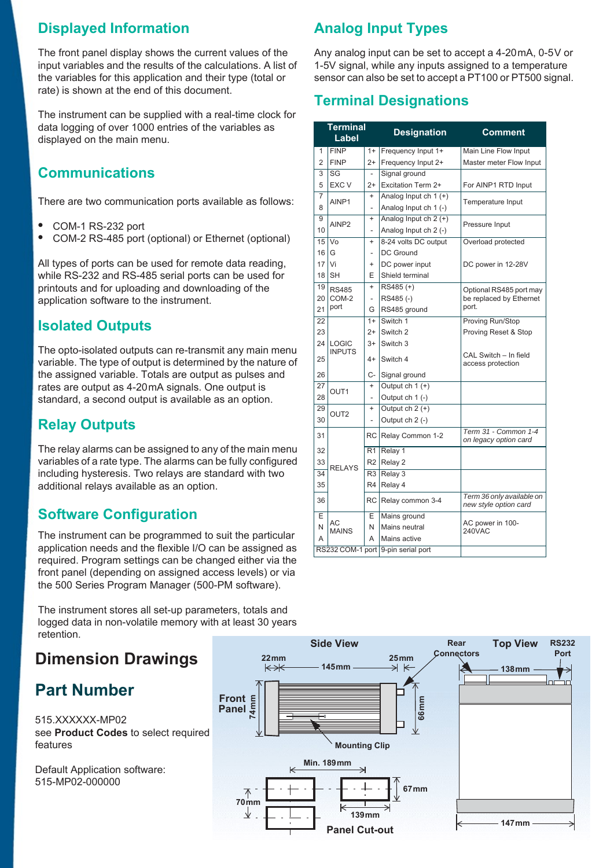## **Displayed Information**

The front panel display shows the current values of the input variables and the results of the calculations. A list of the variables for this application and their type (total or rate) is shown at the end of this document.

The instrument can be supplied with a real-time clock for data logging of over 1000 entries of the variables as displayed on the main menu.

## **Communications**

There are two communication ports available as follows:

- **•** COM-1 RS-232 port
- **•** COM-2 RS-485 port (optional) or Ethernet (optional)

All types of ports can be used for remote data reading, while RS-232 and RS-485 serial ports can be used for printouts and for uploading and downloading of the application software to the instrument.

## **Isolated Outputs**

The opto-isolated outputs can re-transmit any main menu variable. The type of output is determined by the nature of the assigned variable. Totals are output as pulses and rates are output as 4-20 mA signals. One output is standard, a second output is available as an option.

### **Relay Outputs**

The relay alarms can be assigned to any of the main menu variables of a rate type. The alarms can be fully configured including hysteresis. Two relays are standard with two additional relays available as an option.

## **Software Configuration**

The instrument can be programmed to suit the particular application needs and the flexible I/O can be assigned as required. Program settings can be changed either via the front panel (depending on assigned access levels) or via the 500 Series Program Manager (500-PM software).

The instrument stores all set-up parameters, totals and logged data in non-volatile memory with at least 30 years retention.

## **Dimension Drawings**

## **Part Number**

515.XXXXXX-MP02 see **[Product Codes](#page-3-0)** to select required features

Default Application software: 515-MP02-000000

## **Analog Input Types**

Any analog input can be set to accept a 4-20 mA, 0-5 V or 1-5V signal, while any inputs assigned to a temperature sensor can also be set to accept a PT100 or PT500 signal.

## **Terminal Designations**

| <b>Terminal</b><br>Label |                      |                | <b>Designation</b>                 | Comment                                            |  |  |
|--------------------------|----------------------|----------------|------------------------------------|----------------------------------------------------|--|--|
| 1                        | <b>FINP</b><br>$1+$  |                | Frequency Input 1+                 | Main Line Flow Input                               |  |  |
| $\overline{2}$           | <b>FINP</b><br>$2+$  |                | Frequency Input 2+                 | Master meter Flow Input                            |  |  |
| 3                        | SG<br>$\overline{a}$ |                | Signal ground                      |                                                    |  |  |
| 5                        | <b>EXC V</b><br>$2+$ |                | Excitation Term 2+                 | For AINP1 RTD Input                                |  |  |
| $\overline{7}$           | AINP1                | $\ddot{}$      | Analog Input ch $1 (+)$            | Temperature Input                                  |  |  |
| 8                        |                      | L,             | Analog Input ch 1 (-)              |                                                    |  |  |
| 9                        | AINP <sub>2</sub>    | $\ddot{}$      | Analog Input $ch 2 (+)$            | Pressure Input                                     |  |  |
| 10                       |                      | $\overline{a}$ | Analog Input ch 2 (-)              |                                                    |  |  |
| 15                       | Vo                   | $\ddot{}$      | 8-24 volts DC output               | Overload protected                                 |  |  |
| 16                       | G                    | $\overline{a}$ | DC Ground                          |                                                    |  |  |
| 17                       | Vi                   | $\ddot{}$      | DC power input                     | DC power in 12-28V                                 |  |  |
| 18                       | <b>SH</b>            | E              | Shield terminal                    |                                                    |  |  |
| 19                       | <b>RS485</b>         | $\ddot{}$      | RS485 (+)                          | Optional RS485 port may                            |  |  |
| 20                       | COM-2                | $\overline{a}$ | RS485(-)                           | be replaced by Ethernet                            |  |  |
| 21                       | port                 | G              | RS485 ground                       | port.                                              |  |  |
| 22                       |                      | $1+$           | Switch 1                           | Proving Run/Stop                                   |  |  |
| 23                       |                      | $2+$           | Switch 2                           | Proving Reset & Stop                               |  |  |
| 24                       | LOGIC                | $3+$           | Switch 3                           |                                                    |  |  |
| 25                       | <b>INPUTS</b>        | $4+$           | Switch 4                           | CAL Switch - In field<br>access protection         |  |  |
| 26                       |                      | C-             | Signal ground                      |                                                    |  |  |
| 27                       | OUT <sub>1</sub>     | $\ddot{}$      | Output $ch 1 (+)$                  |                                                    |  |  |
| 28                       |                      | $\overline{a}$ | Output ch 1 (-)                    |                                                    |  |  |
| 29                       | OUT <sub>2</sub>     | $\ddot{}$      | Output ch $2 (+)$                  |                                                    |  |  |
| 30                       |                      |                | Output ch 2 (-)                    |                                                    |  |  |
| 31                       |                      | RC             | Relay Common 1-2                   | Term 31 - Common 1-4<br>on legacy option card      |  |  |
| 32                       |                      | R <sub>1</sub> | Relay 1                            |                                                    |  |  |
| 33                       | <b>RELAYS</b>        | R <sub>2</sub> | Relay 2                            |                                                    |  |  |
| 34                       |                      | R <sub>3</sub> | Relay 3                            |                                                    |  |  |
| 35                       |                      | R4             | Relay 4                            |                                                    |  |  |
| 36                       |                      | <b>RC</b>      | Relay common 3-4                   | Term 36 only available on<br>new style option card |  |  |
| E                        | AC                   | Ε              | Mains ground                       |                                                    |  |  |
| N                        | <b>MAINS</b>         | N              | Mains neutral                      | AC power in 100-<br>240VAC                         |  |  |
| A                        |                      | A              | Mains active                       |                                                    |  |  |
|                          |                      |                | RS232 COM-1 port 9-pin serial port |                                                    |  |  |

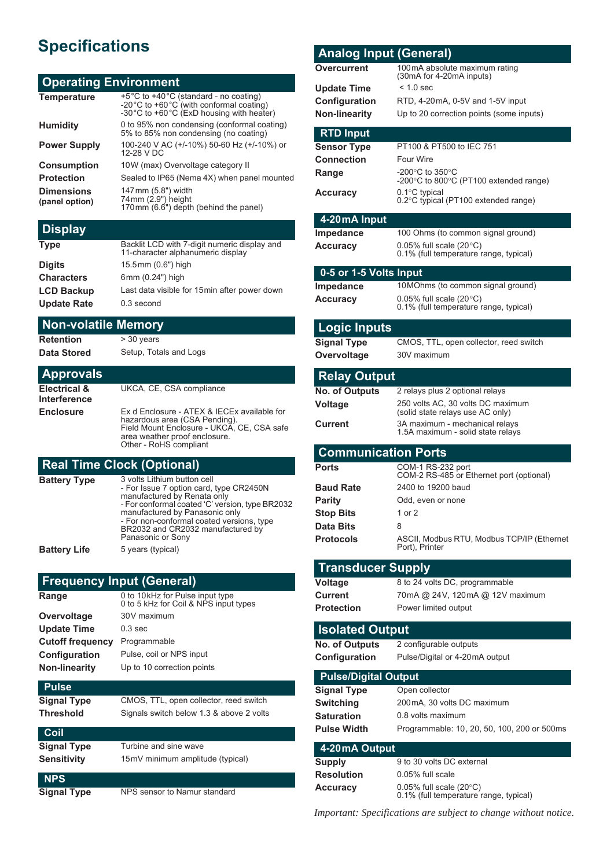## **Specifications**

#### **Operating Environment**

| <b>Temperature</b>                  | +5°C to +40°C (standard - no coating)<br>-20°C to +60°C (with conformal coating)<br>-30°C to +60°C (ExD housing with heater) |
|-------------------------------------|------------------------------------------------------------------------------------------------------------------------------|
| <b>Humidity</b>                     | 0 to 95% non condensing (conformal coating)<br>5% to 85% non condensing (no coating)                                         |
| <b>Power Supply</b>                 | 100-240 V AC (+/-10%) 50-60 Hz (+/-10%) or<br>12-28 V DC                                                                     |
| <b>Consumption</b>                  | 10W (max) Overvoltage category II                                                                                            |
| <b>Protection</b>                   | Sealed to IP65 (Nema 4X) when panel mounted                                                                                  |
| <b>Dimensions</b><br>(panel option) | 147mm (5.8") width<br>74mm (2.9") height<br>170mm (6.6") depth (behind the panel)                                            |

#### **Display**

| Backlit LCD with 7-digit numeric display and<br>11-character alphanumeric display |
|-----------------------------------------------------------------------------------|
| 15.5mm (0.6") high                                                                |
| 6mm (0.24") high                                                                  |
| Last data visible for 15 min after power down                                     |
| 0.3 second                                                                        |
|                                                                                   |

#### **Non-volatile Memory**

**Retention** > 30 years

**Data Stored** Setup, Totals and Logs

#### **Approvals**

**Electrical & Interference** UKCA, CE, CSA compliance **Enclosure** Ex d Enclosure - ATEX & IECEx available for hazardous area (CSA Pending). Field Mount Enclosure - UKCA, CE, CSA safe area weather proof enclosure. Other - RoHS compliant

#### **Real Time Clock (Optional)**

| <b>Battery Type</b> | 3 volts Lithium button cell<br>- For Issue 7 option card, type CR2450N<br>manufactured by Renata only<br>- For conformal coated 'C' version, type BR2032<br>manufactured by Panasonic only<br>- For non-conformal coated versions, type<br>BR2032 and CR2032 manufactured by<br>Panasonic or Sony |
|---------------------|---------------------------------------------------------------------------------------------------------------------------------------------------------------------------------------------------------------------------------------------------------------------------------------------------|
| Battery Life        | 5 years (typical)                                                                                                                                                                                                                                                                                 |

#### **Frequency Input (General)**

| Range                   | 0 to 10 kHz for Pulse input type<br>0 to 5 kHz for Coil & NPS input types |
|-------------------------|---------------------------------------------------------------------------|
| Overvoltage             | 30V maximum                                                               |
| <b>Update Time</b>      | $0.3$ sec                                                                 |
| <b>Cutoff frequency</b> | Programmable                                                              |
| Configuration           | Pulse, coil or NPS input                                                  |
| <b>Non-linearity</b>    | Up to 10 correction points                                                |
| Pulse                   |                                                                           |

#### **Pulse**

| <b>Signal Type</b> | CMOS, TTL, open collector, reed switch   |
|--------------------|------------------------------------------|
| Threshold          | Signals switch below 1.3 & above 2 volts |

| Coil               |                                  |  |
|--------------------|----------------------------------|--|
| <b>Signal Type</b> | Turbine and sine wave            |  |
| <b>Sensitivity</b> | 15mV minimum amplitude (typical) |  |
| <b>NPS</b>         |                                  |  |
| <b>Signal Type</b> | NPS sensor to Namur standard     |  |

#### **Analog Input (General) Overcurrent** 100mA absolute maximum rating (30mA for 4-20mA inputs) **Update Time** < 1.0 sec **Configuration** RTD, 4-20mA, 0-5V and 1-5V input **Non-linearity** Up to 20 correction points (some inputs) **RTD Input Sensor Type** PT100 & PT500 to IEC 751 **Connection** Four Wire **Range -**200°C to 350°C<br>-200°C to 800°C (PT100 extended range) **Accuracy** 0.1°C typical<br>0.2°C typical (PT100 extended range) **4-20 mA Input Impedance** 100 Ohms (to common signal ground) **Accuracy** 0.05% full scale (20 °C) 0.1% (full temperature range, typical) **0-5 or 1-5 Volts Input Impedance** 10 MOhms (to common signal ground) **Accuracy** 0.05% full scale (20°C) 0.1% (full temperature range, typical) **Logic Inputs Signal Type** CMOS, TTL, open collector, reed switch **Overvoltage** 30V maximum **Relay Output No. of Outputs** 2 relays plus 2 optional relays **Voltage** 250 volts AC, 30 volts DC maximum (solid state relays use AC only) **Current** 3A maximum - mechanical relays 1.5A maximum - solid state relays **Communication Ports Ports** COM-1 RS-232 port COM-2 RS-485 or Ethernet port (optional) **Baud Rate** 2400 to 19200 baud **Parity** Odd, even or none **Stop Bits** 1 or 2 **Data Bits** 8 **Protocols** ASCII, Modbus RTU, Modbus TCP/IP (Ethernet Port), Printer **Transducer Supply Voltage** 8 to 24 volts DC, programmable **Current** 70mA @ 24V, 120mA @ 12V maximum **Protection** Power limited output **Isolated Output No. of Outputs** 2 configurable outputs **Configuration** Pulse/Digital or 4-20mA output **Pulse/Digital Output Signal Type** Open collector **Switching** 200mA, 30 volts DC maximum **Saturation** 0.8 volts maximum **Pulse Width** Programmable: 10, 20, 50, 100, 200 or 500ms **4-20 mA Output Supply** 9 to 30 volts DC external

**Resolution** 0.05% full scale **Accuracy** 0.05% full scale (20°C) 0.1% (full temperature range, typical)

*Important: Specifications are subject to change without notice.*